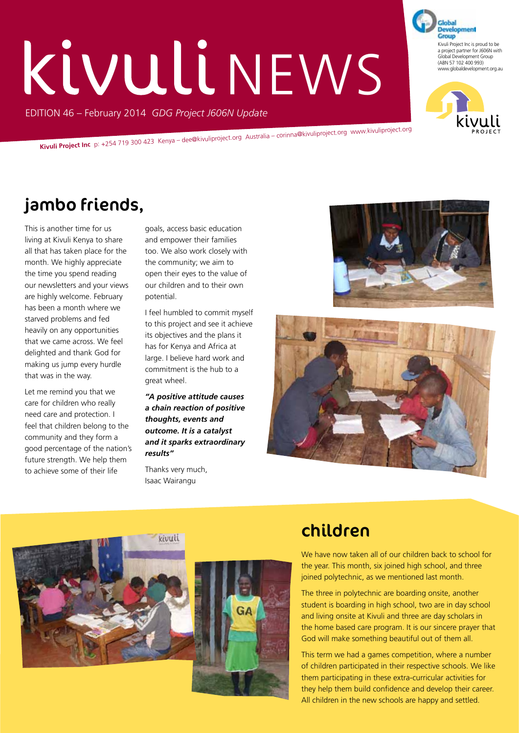# **Kivuli NEWS**

EDITION 46 – February 2014 *GDG Project J606N Update*

**Kivuli Project Inc** p: +254 719 300 423 Kenya – dee@kivuliproject.org Australia – corinna@kivuliproject.org www.kivuliproject.org

# jambo friends,

This is another time for us living at Kivuli Kenya to share all that has taken place for the month. We highly appreciate the time you spend reading our newsletters and your views are highly welcome. February has been a month where we starved problems and fed heavily on any opportunities that we came across. We feel delighted and thank God for making us jump every hurdle that was in the way.

Let me remind you that we care for children who really need care and protection. I feel that children belong to the community and they form a good percentage of the nation's future strength. We help them to achieve some of their life

goals, access basic education and empower their families too. We also work closely with the community; we aim to open their eyes to the value of our children and to their own potential.

I feel humbled to commit myself to this project and see it achieve its objectives and the plans it has for Kenya and Africa at large. I believe hard work and commitment is the hub to a great wheel.

*"A positive attitude causes a chain reaction of positive thoughts, events and outcome. It is a catalyst and it sparks extraordinary results"*

Thanks very much, Isaac Wairangu







# children

We have now taken all of our children back to school for the year. This month, six joined high school, and three joined polytechnic, as we mentioned last month.

The three in polytechnic are boarding onsite, another student is boarding in high school, two are in day school and living onsite at Kivuli and three are day scholars in the home based care program. It is our sincere prayer that God will make something beautiful out of them all.

This term we had a games competition, where a number of children participated in their respective schools. We like them participating in these extra-curricular activities for they help them build confidence and develop their career. All children in the new schools are happy and settled.

Development Group Kivuli Project Inc is proud to be a project partner for J606N with Global Development Group (ABN 57 102 400 993) www.globaldevelopment.org.au

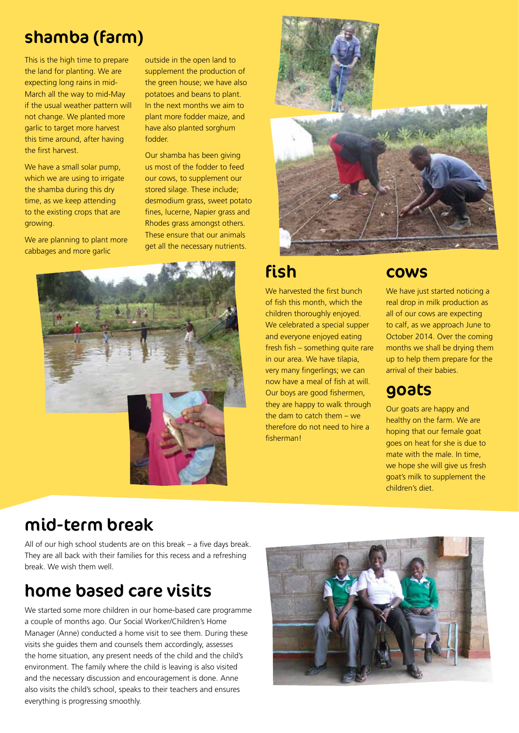# shamba (farm)

This is the high time to prepare the land for planting. We are expecting long rains in mid-March all the way to mid-May if the usual weather pattern will not change. We planted more garlic to target more harvest this time around, after having the first harvest.

We have a small solar pump, which we are using to irrigate the shamba during this dry time, as we keep attending to the existing crops that are growing.

We are planning to plant more cabbages and more garlic

outside in the open land to supplement the production of the green house; we have also potatoes and beans to plant. In the next months we aim to plant more fodder maize, and have also planted sorghum fodder.

Our shamba has been giving us most of the fodder to feed our cows, to supplement our stored silage. These include; desmodium grass, sweet potato fines, lucerne, Napier grass and Rhodes grass amongst others. These ensure that our animals get all the necessary nutrients.





### fish

We harvested the first bunch of fish this month, which the children thoroughly enjoyed. We celebrated a special supper and everyone enjoyed eating fresh fish – something quite rare in our area. We have tilapia, very many fingerlings; we can now have a meal of fish at will. Our boys are good fishermen, they are happy to walk through the dam to catch them – we therefore do not need to hire a fisherman!

#### cows

We have just started noticing a real drop in milk production as all of our cows are expecting to calf, as we approach June to October 2014. Over the coming months we shall be drying them up to help them prepare for the arrival of their babies.

#### goats

Our goats are happy and healthy on the farm. We are hoping that our female goat goes on heat for she is due to mate with the male. In time, we hope she will give us fresh goat's milk to supplement the children's diet.

# mid-term break

All of our high school students are on this break – a five days break. They are all back with their families for this recess and a refreshing break. We wish them well.

# home based care visits

We started some more children in our home-based care programme a couple of months ago. Our Social Worker/Children's Home Manager (Anne) conducted a home visit to see them. During these visits she guides them and counsels them accordingly, assesses the home situation, any present needs of the child and the child's environment. The family where the child is leaving is also visited and the necessary discussion and encouragement is done. Anne also visits the child's school, speaks to their teachers and ensures everything is progressing smoothly.